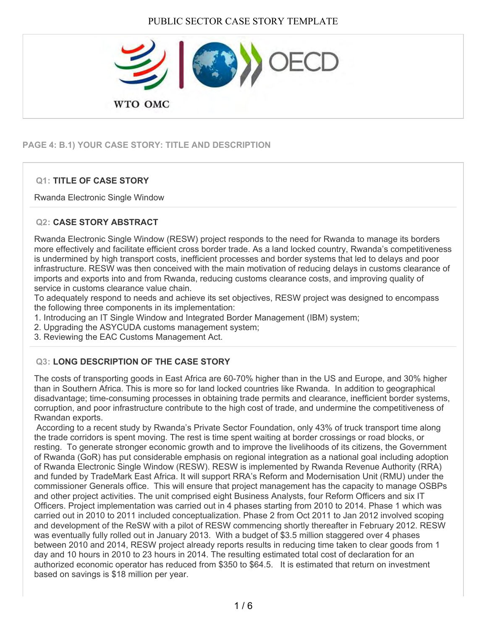

## **PAGE 4: B.1) YOUR CASE STORY: TITLE AND DESCRIPTION**

## **Q1: TITLE OF CASE STORY**

Rwanda Electronic Single Window

### **Q2: CASE STORY ABSTRACT**

Rwanda Electronic Single Window (RESW) project responds to the need for Rwanda to manage its borders more effectively and facilitate efficient cross border trade. As a land locked country, Rwanda's competitiveness is undermined by high transport costs, inefficient processes and border systems that led to delays and poor infrastructure. RESW was then conceived with the main motivation of reducing delays in customs clearance of imports and exports into and from Rwanda, reducing customs clearance costs, and improving quality of service in customs clearance value chain.

To adequately respond to needs and achieve its set objectives, RESW project was designed to encompass the following three components in its implementation:

1. Introducing an IT Single Window and Integrated Border Management (IBM) system;

2. Upgrading the ASYCUDA customs management system;

3. Reviewing the EAC Customs Management Act.

## **Q3: LONG DESCRIPTION OF THE CASE STORY**

The costs of transporting goods in East Africa are 60-70% higher than in the US and Europe, and 30% higher than in Southern Africa. This is more so for land locked countries like Rwanda. In addition to geographical disadvantage; time-consuming processes in obtaining trade permits and clearance, inefficient border systems, corruption, and poor infrastructure contribute to the high cost of trade, and undermine the competitiveness of Rwandan exports.

 According to a recent study by Rwanda's Private Sector Foundation, only 43% of truck transport time along the trade corridors is spent moving. The rest is time spent waiting at border crossings or road blocks, or resting. To generate stronger economic growth and to improve the livelihoods of its citizens, the Government of Rwanda (GoR) has put considerable emphasis on regional integration as a national goal including adoption of Rwanda Electronic Single Window (RESW). RESW is implemented by Rwanda Revenue Authority (RRA) and funded by TradeMark East Africa. It will support RRA's Reform and Modernisation Unit (RMU) under the commissioner Generals office. This will ensure that project management has the capacity to manage OSBPs and other project activities. The unit comprised eight Business Analysts, four Reform Officers and six IT Officers. Project implementation was carried out in 4 phases starting from 2010 to 2014. Phase 1 which was carried out in 2010 to 2011 included conceptualization. Phase 2 from Oct 2011 to Jan 2012 involved scoping and development of the ReSW with a pilot of RESW commencing shortly thereafter in February 2012. RESW was eventually fully rolled out in January 2013. With a budget of \$3.5 million staggered over 4 phases between 2010 and 2014, RESW project already reports results in reducing time taken to clear goods from 1 day and 10 hours in 2010 to 23 hours in 2014. The resulting estimated total cost of declaration for an authorized economic operator has reduced from \$350 to \$64.5. It is estimated that return on investment based on savings is \$18 million per year.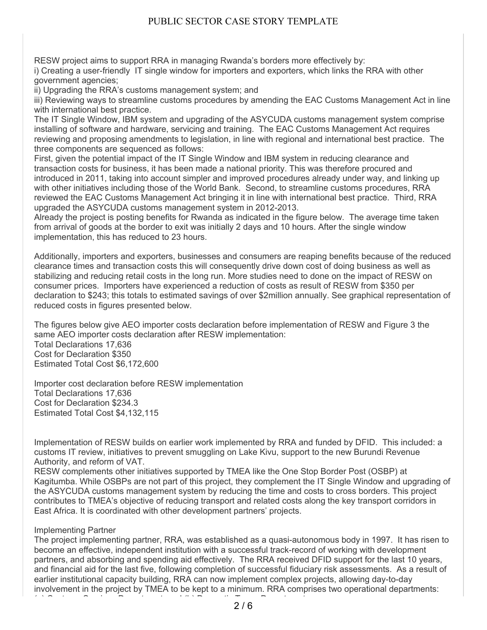RESW project aims to support RRA in managing Rwanda's borders more effectively by:

i) Creating a user-friendly IT single window for importers and exporters, which links the RRA with other government agencies;

ii) Upgrading the RRA's customs management system; and

iii) Reviewing ways to streamline customs procedures by amending the EAC Customs Management Act in line with international best practice.

The IT Single Window, IBM system and upgrading of the ASYCUDA customs management system comprise installing of software and hardware, servicing and training. The EAC Customs Management Act requires reviewing and proposing amendments to legislation, in line with regional and international best practice. The three components are sequenced as follows:

First, given the potential impact of the IT Single Window and IBM system in reducing clearance and transaction costs for business, it has been made a national priority. This was therefore procured and introduced in 2011, taking into account simpler and improved procedures already under way, and linking up with other initiatives including those of the World Bank. Second, to streamline customs procedures, RRA reviewed the EAC Customs Management Act bringing it in line with international best practice. Third, RRA upgraded the ASYCUDA customs management system in 2012-2013.

Already the project is posting benefits for Rwanda as indicated in the figure below. The average time taken from arrival of goods at the border to exit was initially 2 days and 10 hours. After the single window implementation, this has reduced to 23 hours.

Additionally, importers and exporters, businesses and consumers are reaping benefits because of the reduced clearance times and transaction costs this will consequently drive down cost of doing business as well as stabilizing and reducing retail costs in the long run. More studies need to done on the impact of RESW on consumer prices. Importers have experienced a reduction of costs as result of RESW from \$350 per declaration to \$243; this totals to estimated savings of over \$2million annually. See graphical representation of reduced costs in figures presented below.

The figures below give AEO importer costs declaration before implementation of RESW and Figure 3 the same AEO importer costs declaration after RESW implementation: Total Declarations 17,636 Cost for Declaration \$350 Estimated Total Cost \$6,172,600

Importer cost declaration before RESW implementation Total Declarations 17,636 Cost for Declaration \$234.3 Estimated Total Cost \$4,132,115

Implementation of RESW builds on earlier work implemented by RRA and funded by DFID. This included: a customs IT review, initiatives to prevent smuggling on Lake Kivu, support to the new Burundi Revenue Authority, and reform of VAT.

RESW complements other initiatives supported by TMEA like the One Stop Border Post (OSBP) at Kagitumba. While OSBPs are not part of this project, they complement the IT Single Window and upgrading of the ASYCUDA customs management system by reducing the time and costs to cross borders. This project contributes to TMEA's objective of reducing transport and related costs along the key transport corridors in East Africa. It is coordinated with other development partners' projects.

#### Implementing Partner

The project implementing partner, RRA, was established as a quasi-autonomous body in 1997. It has risen to become an effective, independent institution with a successful track-record of working with development partners, and absorbing and spending aid effectively. The RRA received DFID support for the last 10 years, and financial aid for the last five, following completion of successful fiduciary risk assessments. As a result of earlier institutional capacity building, RRA can now implement complex projects, allowing day-to-day involvement in the project by TMEA to be kept to a minimum. RRA comprises two operational departments: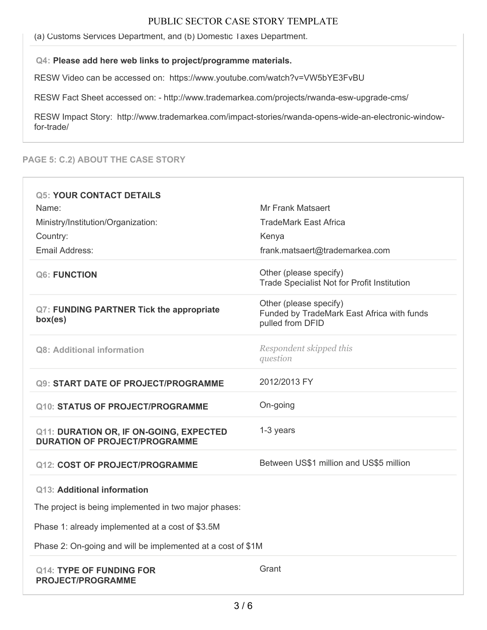(a) Customs Services Department, and (b) Domestic Taxes Department.

#### **Q4: Please add here web links to project/programme materials.**

RESW Video can be accessed on: https://www.youtube.com/watch?v=VW5bYE3FvBU

RESW Fact Sheet accessed on: - http://www.trademarkea.com/projects/rwanda-esw-upgrade-cms/

RESW Impact Story: http://www.trademarkea.com/impact-stories/rwanda-opens-wide-an-electronic-windowfor-trade/

#### **PAGE 5: C.2) ABOUT THE CASE STORY**

| <b>Q5: YOUR CONTACT DETAILS</b><br>Name:<br>Ministry/Institution/Organization:<br>Country:<br>Email Address:                                                                                            | <b>Mr Frank Matsaert</b><br>TradeMark East Africa<br>Kenya<br>frank.matsaert@trademarkea.com |
|---------------------------------------------------------------------------------------------------------------------------------------------------------------------------------------------------------|----------------------------------------------------------------------------------------------|
| <b>Q6: FUNCTION</b>                                                                                                                                                                                     | Other (please specify)<br><b>Trade Specialist Not for Profit Institution</b>                 |
| <b>Q7: FUNDING PARTNER Tick the appropriate</b><br>box(es)                                                                                                                                              | Other (please specify)<br>Funded by TradeMark East Africa with funds<br>pulled from DFID     |
| Q8: Additional information                                                                                                                                                                              | Respondent skipped this<br>question                                                          |
| <b>Q9: START DATE OF PROJECT/PROGRAMME</b>                                                                                                                                                              | 2012/2013 FY                                                                                 |
| Q10: STATUS OF PROJECT/PROGRAMME                                                                                                                                                                        | On-going                                                                                     |
| Q11: DURATION OR, IF ON-GOING, EXPECTED<br><b>DURATION OF PROJECT/PROGRAMME</b>                                                                                                                         | 1-3 years                                                                                    |
| <b>Q12: COST OF PROJECT/PROGRAMME</b>                                                                                                                                                                   | Between US\$1 million and US\$5 million                                                      |
| Q13: Additional information<br>The project is being implemented in two major phases:<br>Phase 1: already implemented at a cost of \$3.5M<br>Phase 2: On-going and will be implemented at a cost of \$1M |                                                                                              |
| <b>Q14: TYPE OF FUNDING FOR</b><br><b>PROJECT/PROGRAMME</b>                                                                                                                                             | Grant                                                                                        |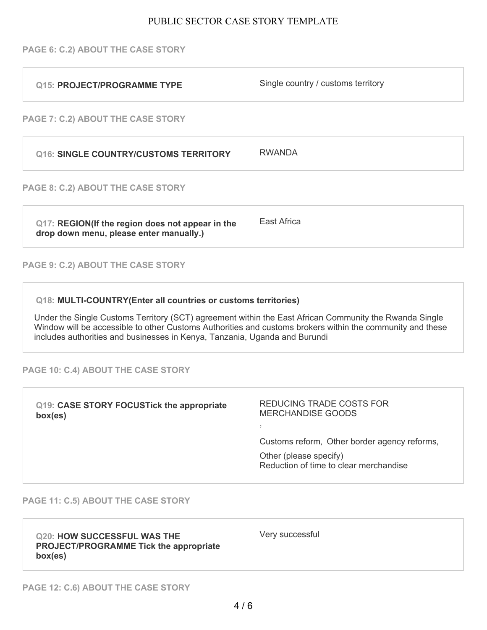#### **PAGE 6: C.2) ABOUT THE CASE STORY**

| Q15: PROJECT/PROGRAMME TYPE                                                                                                                                                                                                                                                                                                                                         | Single country / customs territory |
|---------------------------------------------------------------------------------------------------------------------------------------------------------------------------------------------------------------------------------------------------------------------------------------------------------------------------------------------------------------------|------------------------------------|
| PAGE 7: C.2) ABOUT THE CASE STORY                                                                                                                                                                                                                                                                                                                                   |                                    |
| <b>Q16: SINGLE COUNTRY/CUSTOMS TERRITORY</b>                                                                                                                                                                                                                                                                                                                        | <b>RWANDA</b>                      |
| PAGE 8: C.2) ABOUT THE CASE STORY                                                                                                                                                                                                                                                                                                                                   |                                    |
| Q17: REGION(If the region does not appear in the<br>drop down menu, please enter manually.)                                                                                                                                                                                                                                                                         | East Africa                        |
| PAGE 9: C.2) ABOUT THE CASE STORY                                                                                                                                                                                                                                                                                                                                   |                                    |
| Q18: MULTI-COUNTRY(Enter all countries or customs territories)<br>Under the Single Customs Territory (SCT) agreement within the East African Community the Rwanda Single<br>Window will be accessible to other Customs Authorities and customs brokers within the community and these<br>includes authorities and businesses in Kenya, Tanzania, Uganda and Burundi |                                    |

**PAGE 10: C.4) ABOUT THE CASE STORY**

| Q19: CASE STORY FOCUSTick the appropriate<br>box(es) | REDUCING TRADE COSTS FOR<br><b>MERCHANDISE GOODS</b>                   |
|------------------------------------------------------|------------------------------------------------------------------------|
|                                                      | Customs reform, Other border agency reforms,<br>Other (please specify) |
|                                                      | Reduction of time to clear merchandise                                 |

#### **PAGE 11: C.5) ABOUT THE CASE STORY**

**Q20: HOW SUCCESSFUL WAS THE PROJECT/PROGRAMME Tick the appropriate box(es)**

Very successful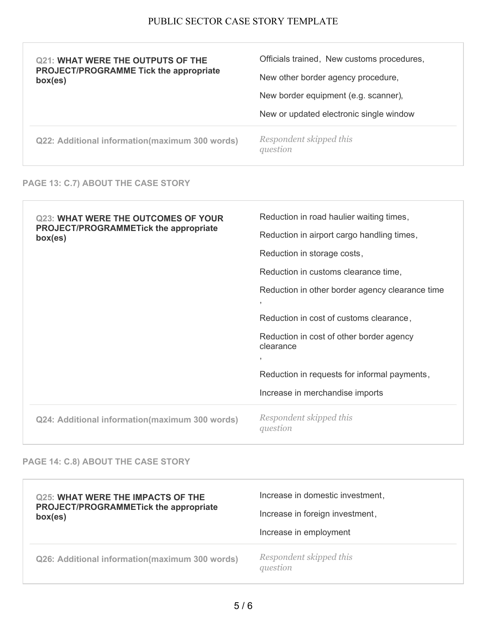| <b>Q21: WHAT WERE THE OUTPUTS OF THE</b><br><b>PROJECT/PROGRAMME Tick the appropriate</b><br>box(es) | Officials trained, New customs procedures,<br>New other border agency procedure, |
|------------------------------------------------------------------------------------------------------|----------------------------------------------------------------------------------|
|                                                                                                      | New border equipment (e.g. scanner),                                             |
|                                                                                                      | New or updated electronic single window                                          |
|                                                                                                      |                                                                                  |

### **PAGE 13: C.7) ABOUT THE CASE STORY**

| <b>Q23: WHAT WERE THE OUTCOMES OF YOUR</b><br><b>PROJECT/PROGRAMMETick the appropriate</b><br>box(es) | Reduction in road haulier waiting times,                                |
|-------------------------------------------------------------------------------------------------------|-------------------------------------------------------------------------|
|                                                                                                       | Reduction in airport cargo handling times,                              |
|                                                                                                       | Reduction in storage costs,                                             |
|                                                                                                       | Reduction in customs clearance time,                                    |
|                                                                                                       | Reduction in other border agency clearance time<br>$\overline{1}$       |
|                                                                                                       | Reduction in cost of customs clearance,                                 |
|                                                                                                       | Reduction in cost of other border agency<br>clearance<br>$\overline{ }$ |
|                                                                                                       | Reduction in requests for informal payments,                            |
|                                                                                                       | Increase in merchandise imports                                         |
| Q24: Additional information(maximum 300 words)                                                        | Respondent skipped this<br>question                                     |

# **PAGE 14: C.8) ABOUT THE CASE STORY**

| <b>Q25: WHAT WERE THE IMPACTS OF THE</b>       | Increase in domestic investment,    |
|------------------------------------------------|-------------------------------------|
| <b>PROJECT/PROGRAMMETick the appropriate</b>   | Increase in foreign investment,     |
| box(es)                                        | Increase in employment              |
| Q26: Additional information(maximum 300 words) | Respondent skipped this<br>question |